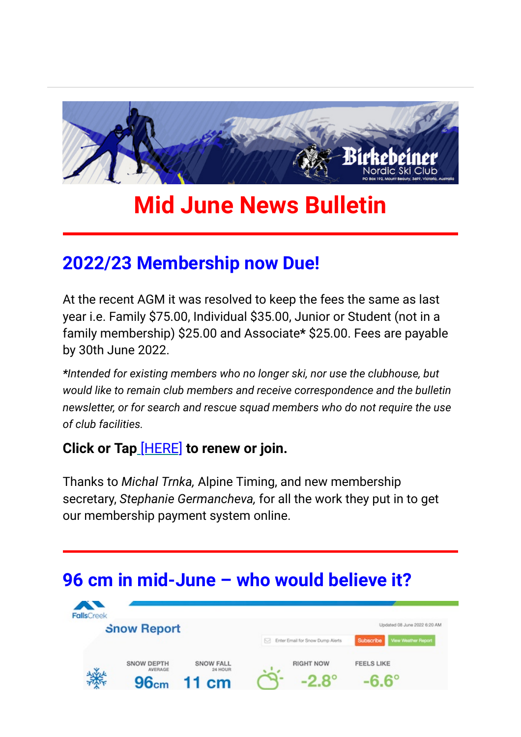

# **Mid June News Bulletin**

## **2022/23 Membership now Due!**

At the recent AGM it was resolved to keep the fees the same as last year i.e. Family \$75.00, Individual \$35.00, Junior or Student (not in a family membership) \$25.00 and Associate**\*** \$25.00. Fees are payable by 30th June 2022.

*\*Intended for existing members who no longer ski, nor use the clubhouse, but would like to remain club members and receive correspondence and the bulletin newsletter, or for search and rescue squad members who do not require the use of club facilities.*

#### **Click or Tap** [\[HERE\]](https://birkebeiner.us19.list-manage.com/track/click?u=8bbdf679e31473895abe8516f&id=3c05b72237&e=5b0b819745) **to renew or join.**

Thanks to *Michal Trnka,* Alpine Timing, and new membership secretary, *Stephanie Germancheva,* for all the work they put in to get our membership payment system online.

## **96 cm in mid-June – who would believe it?**

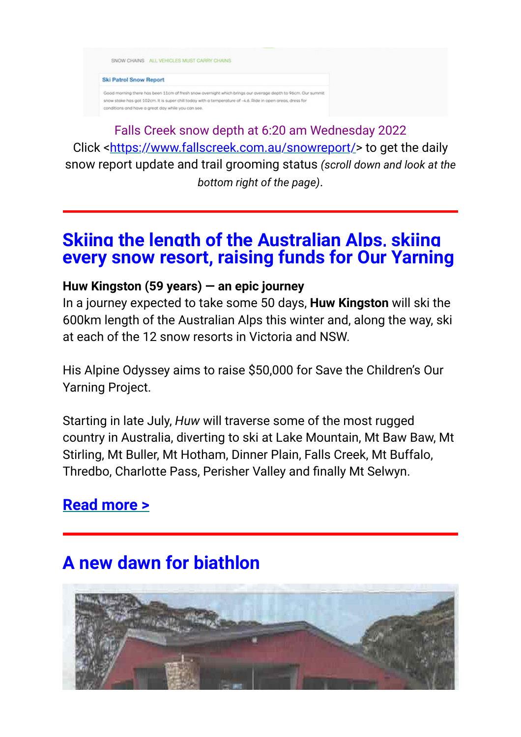

**Ski Patrol Snow Report** 

Good morning there has been 11cm of fresh snow overnight which brings our average depth to 96cm. Our snow stake has got 102cm. It is super chill today with a temperature of -4.6. Ride in open areas, dress for ris and have a great day while you can se

Falls Creek snow depth at 6:20 am Wednesday 2022 Click <[https://www.fallscreek.com.au/snowreport/>](https://birkebeiner.us19.list-manage.com/track/click?u=8bbdf679e31473895abe8516f&id=488f6bdf03&e=5b0b819745) to get the daily snow report update and trail grooming status *(scroll down and look at the bottom right of the page)*.

#### **Skiing the length of the Australian Alps, skiing every snow resort, raising funds for Our Yarning**

#### **Huw Kingston (59 years) — an epic journey**

In a journey expected to take some 50 days, **Huw Kingston** will ski the 600km length of the Australian Alps this winter and, along the way, ski at each of the 12 snow resorts in Victoria and NSW.

His Alpine Odyssey aims to raise \$50,000 for Save the Children's Our Yarning Project.

Starting in late July, *Huw* will traverse some of the most rugged country in Australia, diverting to ski at Lake Mountain, Mt Baw Baw, Mt Stirling, Mt Buller, Mt Hotham, Dinner Plain, Falls Creek, Mt Buffalo, Thredbo, Charlotte Pass, Perisher Valley and finally Mt Selwyn.

### **[Read more >](https://birkebeiner.us19.list-manage.com/track/click?u=8bbdf679e31473895abe8516f&id=543c09f53e&e=5b0b819745)**

## **A new dawn for biathlon**